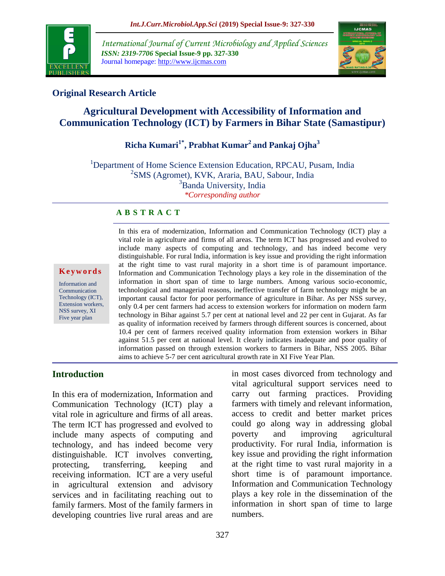

*International Journal of Current Microbiology and Applied Sciences ISSN: 2319-7706* **Special Issue-9 pp. 327-330** Journal homepage: http://www.ijcmas.com



## **Original Research Article**

# **Agricultural Development with Accessibility of Information and Communication Technology (ICT) by Farmers in Bihar State (Samastipur)**

# **Richa Kumari1\* , Prabhat Kumar<sup>2</sup>and Pankaj Ojha<sup>3</sup>**

<sup>1</sup>Department of Home Science Extension Education, RPCAU, Pusam, India <sup>2</sup>SMS (Agromet), KVK, Araria, BAU, Sabour, India <sup>3</sup>Banda University, India *\*Corresponding author*

### **A B S T R A C T**

#### **K e y w o r d s**

Information and **Communication** Technology (ICT), Extension workers, NSS survey, XI Five year plan

In this era of modernization, Information and Communication Technology (ICT) play a vital role in agriculture and firms of all areas. The term ICT has progressed and evolved to include many aspects of computing and technology, and has indeed become very distinguishable. For rural India, information is key issue and providing the right information at the right time to vast rural majority in a short time is of paramount importance. Information and Communication Technology plays a key role in the dissemination of the information in short span of time to large numbers. Among various socio-economic, technological and managerial reasons, ineffective transfer of farm technology might be an important causal factor for poor performance of agriculture in Bihar. As per NSS survey, only 0.4 per cent farmers had access to extension workers for information on modern farm technology in Bihar against 5.7 per cent at national level and 22 per cent in Gujarat. As far as quality of information received by farmers through different sources is concerned, about 10.4 per cent of farmers received quality information from extension workers in Bihar against 51.5 per cent at national level. It clearly indicates inadequate and poor quality of information passed on through extension workers to farmers in Bihar, NSS 2005. Bihar aims to achieve 5-7 per cent agricultural growth rate in XI Five Year Plan.

### **Introduction**

In this era of modernization, Information and Communication Technology (ICT) play a vital role in agriculture and firms of all areas. The term ICT has progressed and evolved to include many aspects of computing and technology, and has indeed become very distinguishable. ICT involves converting, protecting, transferring, keeping and receiving information. ICT are a very useful in agricultural extension and advisory services and in facilitating reaching out to family farmers. Most of the family farmers in developing countries live rural areas and are

in most cases divorced from technology and vital agricultural support services need to carry out farming practices. Providing farmers with timely and relevant information, access to credit and better market prices could go along way in addressing global poverty and improving agricultural productivity. For rural India, information is key issue and providing the right information at the right time to vast rural majority in a short time is of paramount importance. Information and Communication Technology plays a key role in the dissemination of the information in short span of time to large numbers.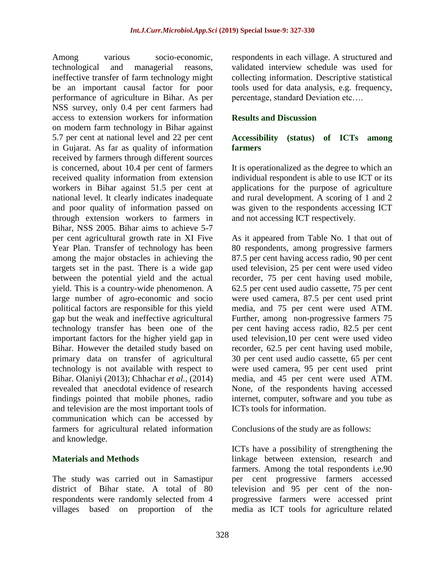Among various socio-economic, technological and managerial reasons, ineffective transfer of farm technology might be an important causal factor for poor performance of agriculture in Bihar. As per NSS survey, only 0.4 per cent farmers had access to extension workers for information on modern farm technology in Bihar against 5.7 per cent at national level and 22 per cent in Gujarat. As far as quality of information received by farmers through different sources is concerned, about 10.4 per cent of farmers received quality information from extension workers in Bihar against 51.5 per cent at national level. It clearly indicates inadequate and poor quality of information passed on through extension workers to farmers in Bihar, NSS 2005. Bihar aims to achieve 5-7 per cent agricultural growth rate in XI Five Year Plan. Transfer of technology has been among the major obstacles in achieving the targets set in the past. There is a wide gap between the potential yield and the actual yield. This is a country-wide phenomenon. A large number of agro-economic and socio political factors are responsible for this yield gap but the weak and ineffective agricultural technology transfer has been one of the important factors for the higher yield gap in Bihar. However the detailed study based on primary data on transfer of agricultural technology is not available with respect to Bihar. Olaniyi (2013); Chhachar *et al.,* (2014) revealed that anecdotal evidence of research findings pointed that mobile phones, radio and television are the most important tools of communication which can be accessed by farmers for agricultural related information and knowledge.

### **Materials and Methods**

The study was carried out in Samastipur district of Bihar state. A total of 80 respondents were randomly selected from 4 villages based on proportion of the respondents in each village. A structured and validated interview schedule was used for collecting information. Descriptive statistical tools used for data analysis, e.g. frequency, percentage, standard Deviation etc….

### **Results and Discussion**

### **Accessibility (status) of ICTs among farmers**

It is operationalized as the degree to which an individual respondent is able to use ICT or its applications for the purpose of agriculture and rural development. A scoring of 1 and 2 was given to the respondents accessing ICT and not accessing ICT respectively.

As it appeared from Table No. 1 that out of 80 respondents, among progressive farmers 87.5 per cent having access radio, 90 per cent used television, 25 per cent were used video recorder, 75 per cent having used mobile, 62.5 per cent used audio cassette, 75 per cent were used camera, 87.5 per cent used print media, and 75 per cent were used ATM. Further, among non-progressive farmers 75 per cent having access radio, 82.5 per cent used television,10 per cent were used video recorder, 62.5 per cent having used mobile, 30 per cent used audio cassette, 65 per cent were used camera, 95 per cent used print media, and 45 per cent were used ATM. None, of the respondents having accessed internet, computer, software and you tube as ICTs tools for information.

Conclusions of the study are as follows:

ICTs have a possibility of strengthening the linkage between extension, research and farmers. Among the total respondents i.e.90 per cent progressive farmers accessed television and 95 per cent of the nonprogressive farmers were accessed print media as ICT tools for agriculture related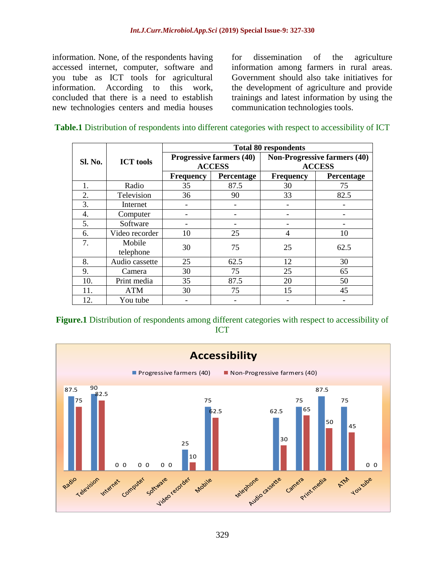information. None, of the respondents having accessed internet, computer, software and you tube as ICT tools for agricultural information. According to this work, concluded that there is a need to establish new technologies centers and media houses

for dissemination of the agriculture information among farmers in rural areas. Government should also take initiatives for the development of agriculture and provide trainings and latest information by using the communication technologies tools.

#### **Table.1** Distribution of respondents into different categories with respect to accessibility of ICT

|                | <b>ICT</b> tools    | <b>Total 80 respondents</b>     |            |                                     |            |
|----------------|---------------------|---------------------------------|------------|-------------------------------------|------------|
| <b>Sl. No.</b> |                     | <b>Progressive farmers (40)</b> |            | <b>Non-Progressive farmers (40)</b> |            |
|                |                     | <b>ACCESS</b>                   |            | <b>ACCESS</b>                       |            |
|                |                     | <b>Frequency</b>                | Percentage | <b>Frequency</b>                    | Percentage |
| 1.             | Radio               | 35                              | 87.5       | 30                                  | 75         |
| 2.             | Television          | 36                              | 90         | 33                                  | 82.5       |
| 3.             | Internet            |                                 |            |                                     |            |
| 4.             | Computer            |                                 |            |                                     |            |
| 5.             | Software            |                                 |            |                                     |            |
| 6.             | Video recorder      | 10                              | 25         | $\overline{4}$                      | 10         |
| 7.             | Mobile<br>telephone | 30                              | 75         | 25                                  | 62.5       |
| 8.             | Audio cassette      | 25                              | 62.5       | 12                                  | 30         |
| 9.             | Camera              | 30                              | 75         | 25                                  | 65         |
| 10.            | Print media         | 35                              | 87.5       | 20                                  | 50         |
| 11.            | <b>ATM</b>          | 30                              | 75         | 15                                  | 45         |
| 12.            | You tube            |                                 |            |                                     |            |

**Figure.1** Distribution of respondents among different categories with respect to accessibility of ICT